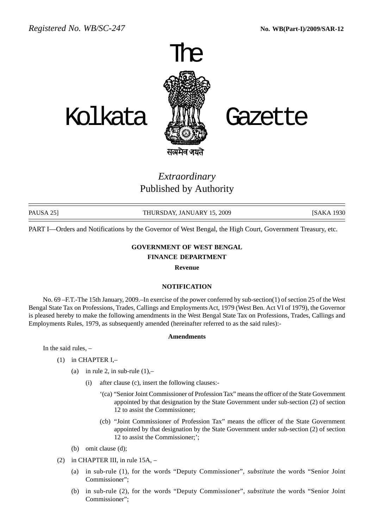

# *Extraordinary* Published by Authority

PAUSA 25] THURSDAY, JANUARY 15, 2009 [SAKA 1930

PART I—Orders and Notifications by the Governor of West Bengal, the High Court, Government Treasury, etc.

## **GOVERNMENT OF WEST BENGAL**

### **FINANCE DEPARTMENT**

**Revenue**

#### **NOTIFICATION**

No. 69 –F.T.-The 15th January, 2009.–In exercise of the power conferred by sub-section(1) of section 25 of the West Bengal State Tax on Professions, Trades, Callings and Employments Act, 1979 (West Ben. Act VI of 1979), the Governor is pleased hereby to make the following amendments in the West Bengal State Tax on Professions, Trades, Callings and Employments Rules, 1979, as subsequently amended (hereinafter referred to as the said rules):-

#### **Amendments**

In the said rules, –

- (1) in CHAPTER I,–
	- (a) in rule 2, in sub-rule  $(1)$ ,-
		- (i) after clause (c), insert the following clauses:-
			- '(ca) "Senior Joint Commissioner of Profession Tax" means the officer of the State Government appointed by that designation by the State Government under sub-section (2) of section 12 to assist the Commissioner;
			- (cb) "Joint Commissioner of Profession Tax" means the officer of the State Government appointed by that designation by the State Government under sub-section (2) of section 12 to assist the Commissioner;';
	- (b) omit clause (d);
- (2) in CHAPTER III, in rule 15A,
	- (a) in sub-rule (1), for the words "Deputy Commissioner", *substitute* the words "Senior Joint Commissioner";
	- (b) in sub-rule (2), for the words "Deputy Commissioner", *substitute* the words "Senior Joint Commissioner";